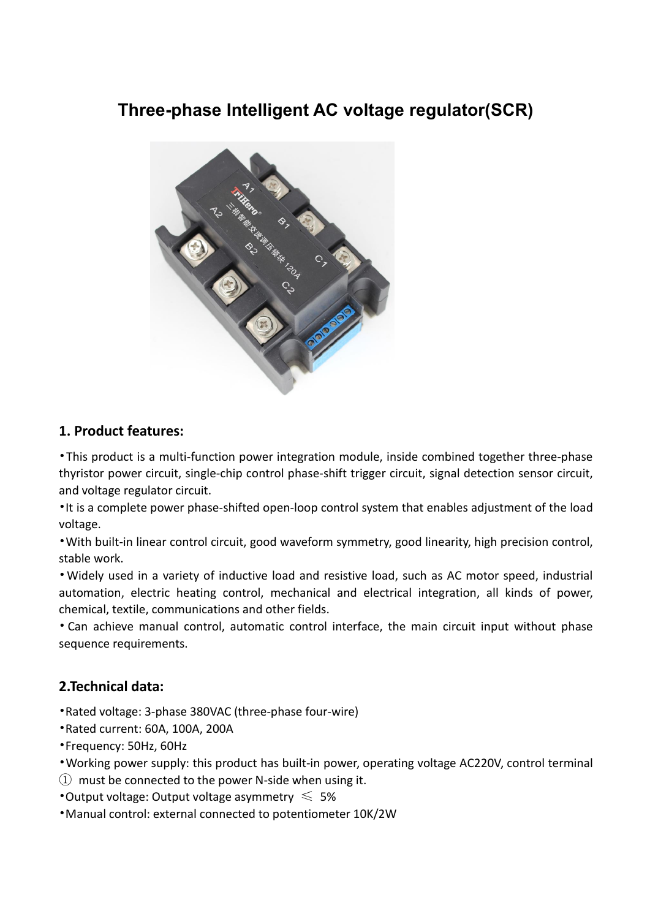# **Three-phase Intelligent AC voltage regulator(SCR)**



## **1. Product features:**

•This product is a multi-function power integration module, inside combined together three-phase thyristor power circuit, single-chip control phase-shift trigger circuit, signal detection sensor circuit, and voltage regulator circuit.

•It is a complete power phase-shifted open-loop control system that enables adjustment of the load voltage.

• With built-in linear control circuit, good waveform symmetry, good linearity, high precision control, stable work.

•Widely used in a variety of inductive load and resistive load, such as AC motor speed, industrial automation, electric heating control, mechanical and electrical integration, all kinds of power, chemical, textile, communications and other fields.

• Can achieve manual control, automatic control interface, the main circuit input without phase sequence requirements.

## **2.Technical data:**

- •Rated voltage: 3-phase 380VAC (three-phase four-wire)
- •Rated current: 60A, 100A, 200A
- •Frequency: 50Hz, 60Hz

•Working power supply: this product has built-in power, operating voltage AC220V, control terminal

 $\Omega$  must be connected to the power N-side when using it.

•Output voltage: Output voltage asymmetry  $\leq 5\%$ 

•Manual control: external connected to potentiometer 10K/2W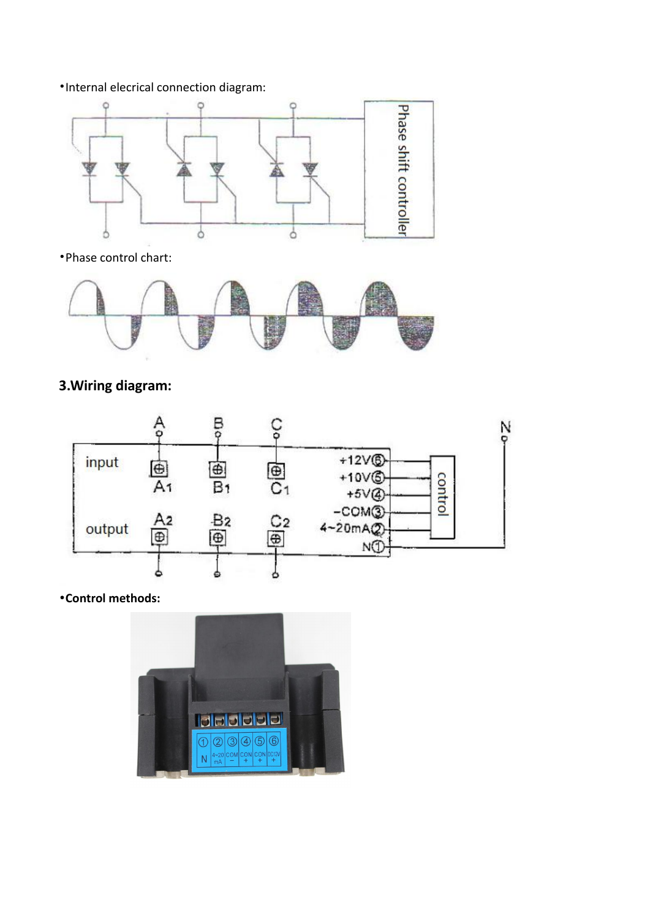#### •Internal elecrical connection diagram:



•Phase control chart:



## **3.Wiring diagram:**



•**Control methods:**

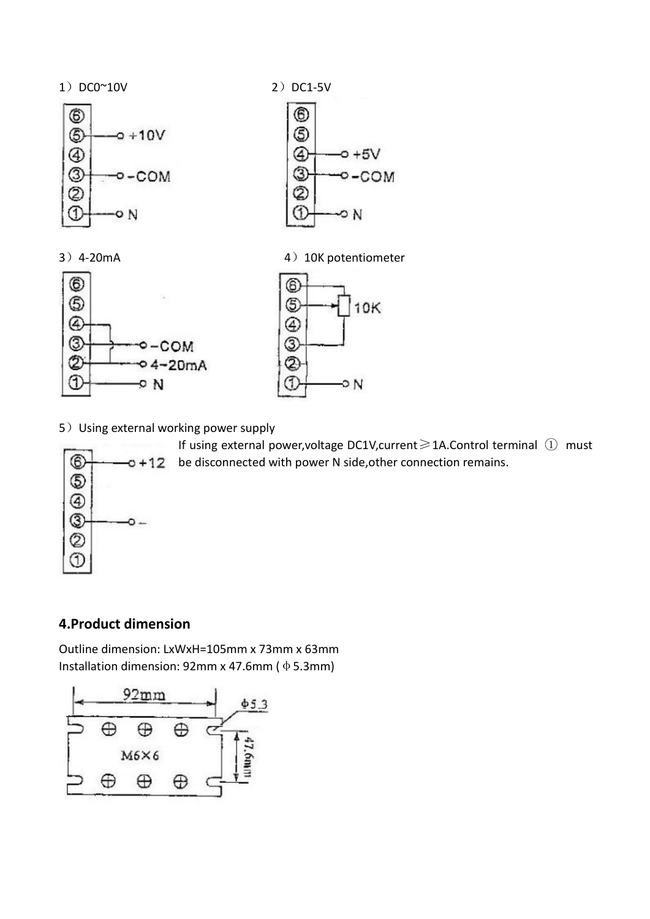







-ON

③

➁

➀

 $-0 + 5V$ 

∽N

 $O-COM$ 

5) Using external working power supply



If using external power,voltage DC1V,current≥1A.Control terminal ① must  $-0 + 12$  be disconnected with power N side, other connection remains.

### **4.Product dimension**

Outline dimension: LxWxH=105mm x 73mm x 63mm Installation dimension: 92mm x 47.6mm ( $\Phi$  5.3mm)